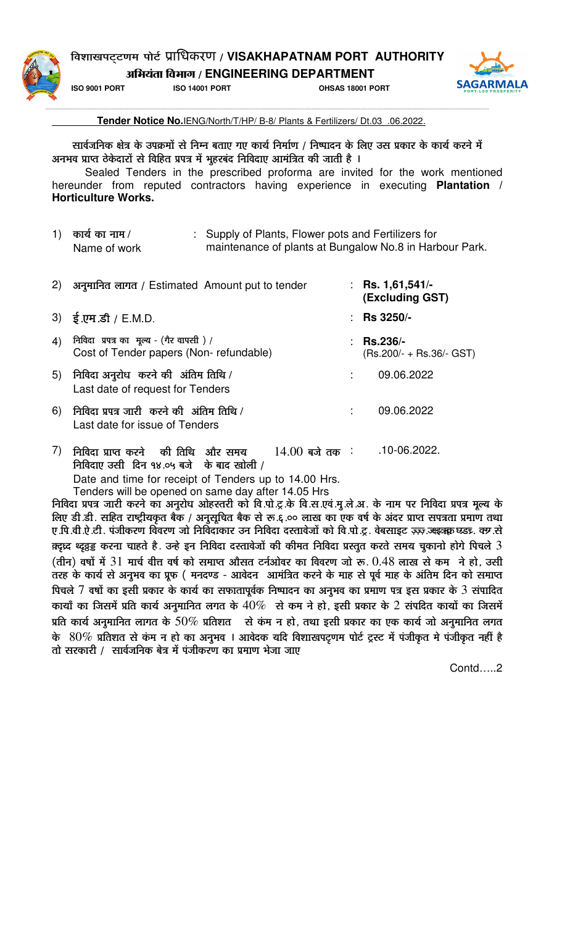### ʴɶÉÉJÉ{É]Âõ]hÉ¨É {ÉÉä]Çõ ूािधकरण / **VISAKHAPATNAM PORT AUTHORITY**

 $\overline{\text{MR}}$ यंता विभाग / ENGINEERING DEPARTMENT



**ISO 9001 PORT ISO 14001 PORT OHSAS 18001 PORT**



--------------------------------------------------------------------------------------------------------------------------------------------------------------------------------------------------------------------------------------------------------------------------------------------------------------------------------------------------------------------------- **Tender Notice No.**IENG/North/T/HP/ B-8/ Plants & Fertilizers/ Dt.03 .06.2022.

सार्वजनिक क्षेत्र के उपक्रमों से निम्न बताए गए कार्य निर्माण / निष्पादन के लिए उस प्रकार के कार्य करने में अनभव प्राप्त ठेकेदारों से विहित प्रपत्र में भूहरबंद निविदाए आमंत्रित की जाती है ।

Sealed Tenders in the prescribed proforma are invited for the work mentioned hereunder from reputed contractors having experience in executing **Plantation / Horticulture Works.** 

| 1) कार्य का नाम $/$ | : Supply of Plants, Flower pots and Fertilizers for     |
|---------------------|---------------------------------------------------------|
| Name of work        | maintenance of plants at Bungalow No.8 in Harbour Park. |

| 2) | अनुमानित लागत / Estimated Amount put to tender                                    | : Rs. 1,61,541/-<br>(Excluding GST)           |
|----|-----------------------------------------------------------------------------------|-----------------------------------------------|
|    | 3) $\frac{1}{5}$ .एम .डी / E.M.D.                                                 | : Rs $3250/-$                                 |
| 4) | निविदा प्रपत्र का मूल्य - (गैर वापसी) /<br>Cost of Tender papers (Non-refundable) | <b>Rs.236/-</b><br>$(Rs.200/ + Rs.36/ - GST)$ |
| 5) | निविदा अनुरोध करने की अंतिम तिथि /<br>Last date of request for Tenders            | 09.06.2022                                    |
| 6) | निविदा प्रपत्र जारी करने की अंतिम तिथि /<br>Last date for issue of Tenders        | 09.06.2022                                    |
|    | निविदा प्राप्त करने की तिथि<br>और समय<br>$14.00$ बजे तक :                         | .10-06.2022.                                  |

 $F$ निविदाए उसी दिन १४.०५ बजे के बाद खोली /

Date and time for receipt of Tenders up to 14.00 Hrs.

Tenders will be opened on same day after 14.05 Hrs

<u>निविदा प्रपत्र जारी करने का अनुरोध ओहस्तरी को वि.पो.ट्र.के वि.स.एवं.मु.ले.अ. के नाम पर निविदा प्रपत्र मूल्य के</u> लिए डी.डी. सहित राष्ट्रीयकृत बैंक / अनुसूचित बैंक से रू.६.०० लाख का एक वर्ष के अंदर प्राप्त सपत्रता प्रमाण तथा ए.पि.वी.ऐ.टी. पंजीकरण विवरण जो निर्विदाकार उन निविदा दस्तावेजों को वि.पो.टू. वेबसाइट ज़्ज़्ज़ अइक्र घड़, क्यासे क़्दृध्द थ्द्रव्र्ड्ड करना चाहते है. उन्हे इन निविदा दस्तावेजों की कीमत निविदा प्रस्तुत करते समय चुकानो होगे पिचले  $3$  $\Phi$ (तीन) वर्षों में  $31$  मार्च वीत्त वर्ष को समाप्त औसत टर्नओवर का विवरण जो रू.  $0.48$  लाख से कम ने हो, उसी तरह के कार्य से अनुभव का प्रूफ ( मनदण्ड - आवेदन) आमंत्रित करने के माह से पूर्व माह के अंतिम दिन को समाप्त पिचले  $7$  वर्षों का इसी प्रकार के कार्य का सफातापूर्वक निष्पादन का अनुभव का प्रमाण पत्र इस प्रकार के  $3$  संपादित कायाँ का जिसमें प्रति कार्य अनुमानित लगत के  $40\%$  से कम ने हो, इसी प्रकार के  $2$  संपदित कायों का जिसमें प्रति कार्य अनुमानित लागत के 50% प्रतिशत से कंम न हो, तथा इसी प्रकार का एक कार्य जो अनुमानित लगत के  $80\%$  प्रतिशत से कंम न हो का अनुभव । आवेदक यदि विशाखपट्णम पोर्ट ट्रस्ट में पंजीकृत मे पंजीकृत नहीं है तो सरकारी / सार्वजनिक बेत्र में पंजीकरण का प्रमाण भेजा जाए

Contd…..2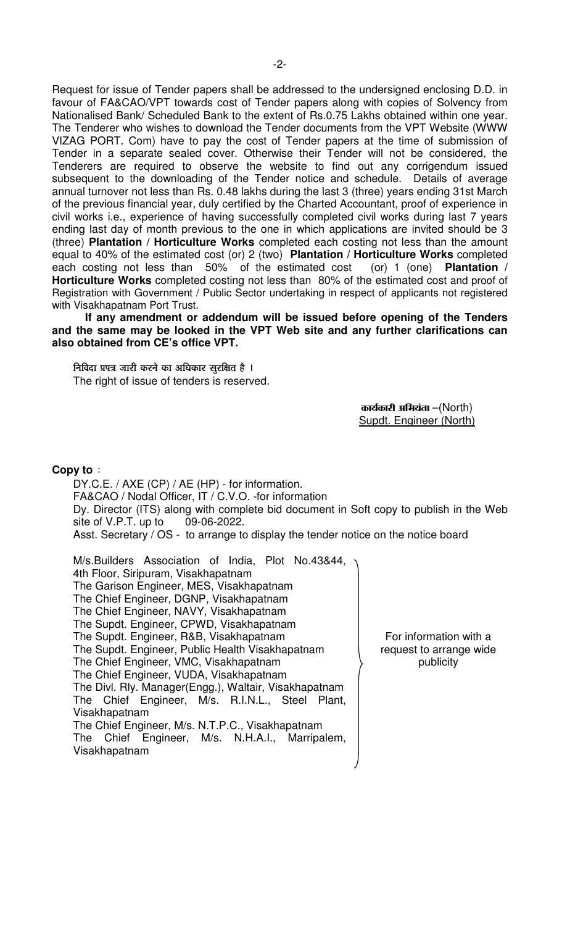Request for issue of Tender papers shall be addressed to the undersigned enclosing D.D. in favour of FA&CAO/VPT towards cost of Tender papers along with copies of Solvency from Nationalised Bank/ Scheduled Bank to the extent of Rs.0.75 Lakhs obtained within one year. The Tenderer who wishes to download the Tender documents from the VPT Website (WWW VIZAG PORT. Com) have to pay the cost of Tender papers at the time of submission of Tender in a separate sealed cover. Otherwise their Tender will not be considered, the Tenderers are required to observe the website to find out any corrigendum issued subsequent to the downloading of the Tender notice and schedule. Details of average annual turnover not less than Rs. 0.48 lakhs during the last 3 (three) years ending 31st March of the previous financial year, duly certified by the Charted Accountant, proof of experience in civil works i.e., experience of having successfully completed civil works during last 7 years ending last day of month previous to the one in which applications are invited should be 3 (three) **Plantation / Horticulture Works** completed each costing not less than the amount equal to 40% of the estimated cost (or) 2 (two) **Plantation / Horticulture Works** completed each costing not less than 50% of the estimated cost (or) 1 (one) **Plantation / Horticulture Works** completed costing not less than 80% of the estimated cost and proof of Registration with Government / Public Sector undertaking in respect of applicants not registered with Visakhapatnam Port Trust.

 **If any amendment or addendum will be issued before opening of the Tenders and the same may be looked in the VPT Web site and any further clarifications can also obtained from CE's office VPT.** 

निविदा प्रपत्र जारी करने का अधिकार सुरक्षित है । The right of issue of tenders is reserved.

> $\Phi$ कार्यकारी अभियंता $-$ (North) Supdt. Engineer (North)

#### **Copy to** :

 DY.C.E. / AXE (CP) / AE (HP) - for information. FA&CAO / Nodal Officer, IT / C.V.O. -for information Dy. Director (ITS) along with complete bid document in Soft copy to publish in the Web site of V.P.T. up to 09-06-2022. Asst. Secretary / OS - to arrange to display the tender notice on the notice board

 M/s.Builders Association of India, Plot No.43&44, 4th Floor, Siripuram, Visakhapatnam The Garison Engineer, MES, Visakhapatnam The Chief Engineer, DGNP, Visakhapatnam The Chief Engineer, NAVY, Visakhapatnam The Supdt. Engineer, CPWD, Visakhapatnam The Supdt. Engineer, R&B, Visakhapatnam The Supdt. Engineer, Public Health Visakhapatnam The Chief Engineer, VMC, Visakhapatnam The Chief Engineer, VUDA, Visakhapatnam The Divl. Rly. Manager(Engg.), Waltair, Visakhapatnam The Chief Engineer, M/s. R.I.N.L., Steel Plant, Visakhapatnam The Chief Engineer, M/s. N.T.P.C., Visakhapatnam The Chief Engineer, M/s. N.H.A.I., Marripalem, Visakhapatnam

For information with a request to arrange wide publicity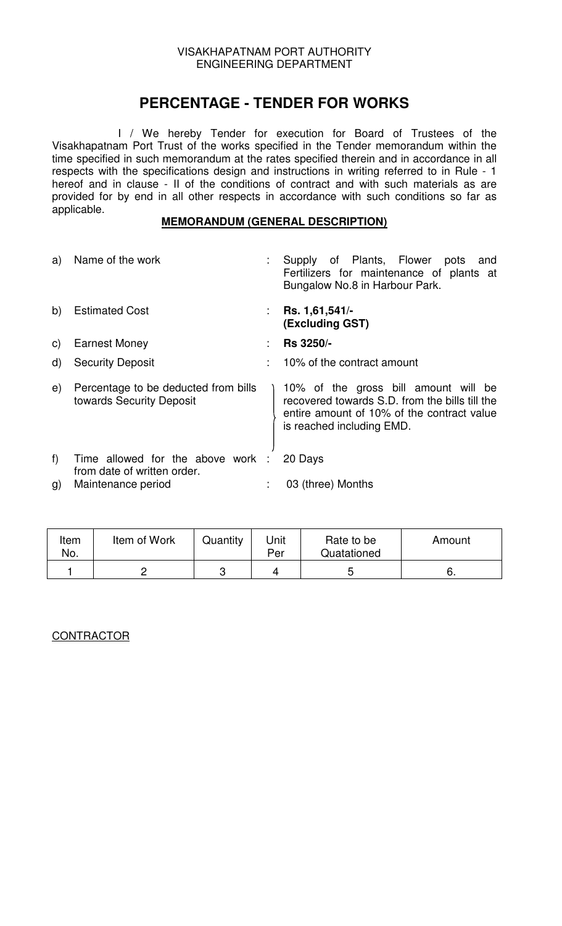# **PERCENTAGE - TENDER FOR WORKS**

 I / We hereby Tender for execution for Board of Trustees of the Visakhapatnam Port Trust of the works specified in the Tender memorandum within the time specified in such memorandum at the rates specified therein and in accordance in all respects with the specifications design and instructions in writing referred to in Rule - 1 hereof and in clause - II of the conditions of contract and with such materials as are provided for by end in all other respects in accordance with such conditions so far as applicable.

#### **MEMORANDUM (GENERAL DESCRIPTION)**

| a)           | Name of the work                                                 |    | Supply of Plants, Flower<br>pots and<br>Fertilizers for maintenance of plants at<br>Bungalow No.8 in Harbour Park.                                                |
|--------------|------------------------------------------------------------------|----|-------------------------------------------------------------------------------------------------------------------------------------------------------------------|
| b)           | <b>Estimated Cost</b>                                            | t. | Rs. 1,61,541/-<br>(Excluding GST)                                                                                                                                 |
| C)           | <b>Earnest Money</b>                                             | ۰. | <b>Rs 3250/-</b>                                                                                                                                                  |
| $\mathsf{d}$ | <b>Security Deposit</b>                                          |    | 10% of the contract amount                                                                                                                                        |
| e)           | Percentage to be deducted from bills<br>towards Security Deposit |    | 10% of the gross bill amount will be<br>recovered towards S.D. from the bills till the<br>entire amount of 10% of the contract value<br>is reached including EMD. |
| f            | Time allowed for the above work :<br>from date of written order. |    | 20 Days                                                                                                                                                           |
| g)           | Maintenance period                                               | ۰. | 03 (three) Months                                                                                                                                                 |

| Item<br>No. | Item of Work | Quantity | Jnit<br>Per | Rate to be<br>Quatationed | Amount |
|-------------|--------------|----------|-------------|---------------------------|--------|
|             |              |          |             |                           | υ.     |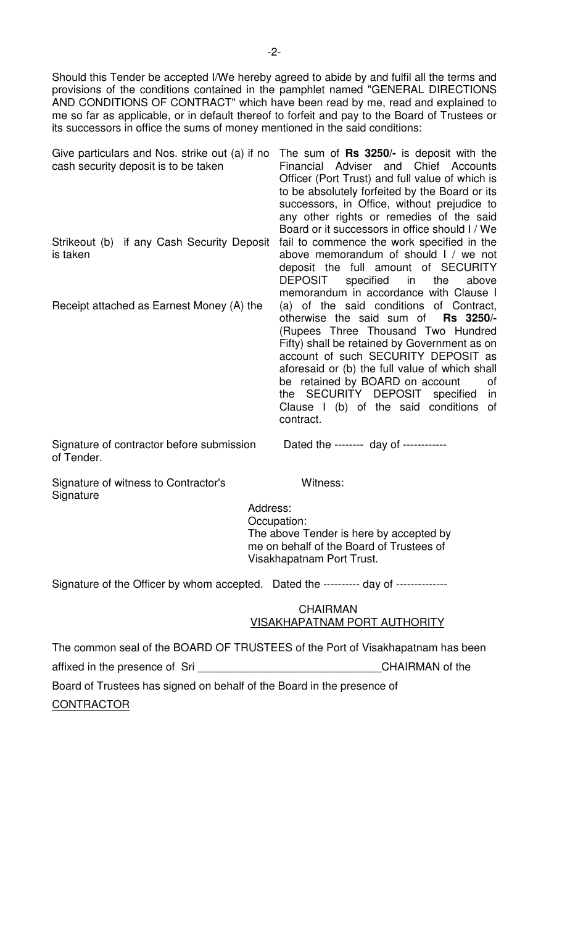Should this Tender be accepted I/We hereby agreed to abide by and fulfil all the terms and provisions of the conditions contained in the pamphlet named "GENERAL DIRECTIONS AND CONDITIONS OF CONTRACT" which have been read by me, read and explained to me so far as applicable, or in default thereof to forfeit and pay to the Board of Trustees or its successors in office the sums of money mentioned in the said conditions:

| Give particulars and Nos. strike out (a) if no<br>cash security deposit is to be taken | The sum of <b>Rs 3250/-</b> is deposit with the<br>Financial Adviser and Chief Accounts<br>Officer (Port Trust) and full value of which is<br>to be absolutely forfeited by the Board or its<br>successors, in Office, without prejudice to<br>any other rights or remedies of the said<br>Board or it successors in office should I / We                                                                           |
|----------------------------------------------------------------------------------------|---------------------------------------------------------------------------------------------------------------------------------------------------------------------------------------------------------------------------------------------------------------------------------------------------------------------------------------------------------------------------------------------------------------------|
| Strikeout (b) if any Cash Security Deposit<br>is taken                                 | fail to commence the work specified in the<br>above memorandum of should I / we not<br>deposit the full amount of SECURITY<br>DEPOSIT<br>specified in the<br>above<br>memorandum in accordance with Clause I                                                                                                                                                                                                        |
| Receipt attached as Earnest Money (A) the                                              | (a) of the said conditions of Contract,<br>otherwise the said sum of <b>Rs 3250/-</b><br>(Rupees Three Thousand Two Hundred<br>Fifty) shall be retained by Government as on<br>account of such SECURITY DEPOSIT as<br>aforesaid or (b) the full value of which shall<br>be retained by BOARD on account<br>0f<br>the SECURITY DEPOSIT specified<br><i>in</i><br>Clause I (b) of the said conditions of<br>contract. |

Signature of contractor before submission Dated the -------- day of -----------of Tender.

Signature of witness to Contractor's Witness: **Signature** 

 Address: Occupation: The above Tender is here by accepted by me on behalf of the Board of Trustees of Visakhapatnam Port Trust.

Signature of the Officer by whom accepted. Dated the ---------- day of --------------

#### CHAIRMAN VISAKHAPATNAM PORT AUTHORITY

The common seal of the BOARD OF TRUSTEES of the Port of Visakhapatnam has been affixed in the presence of Sri **Exercise 20** CHAIRMAN of the Board of Trustees has signed on behalf of the Board in the presence of **CONTRACTOR**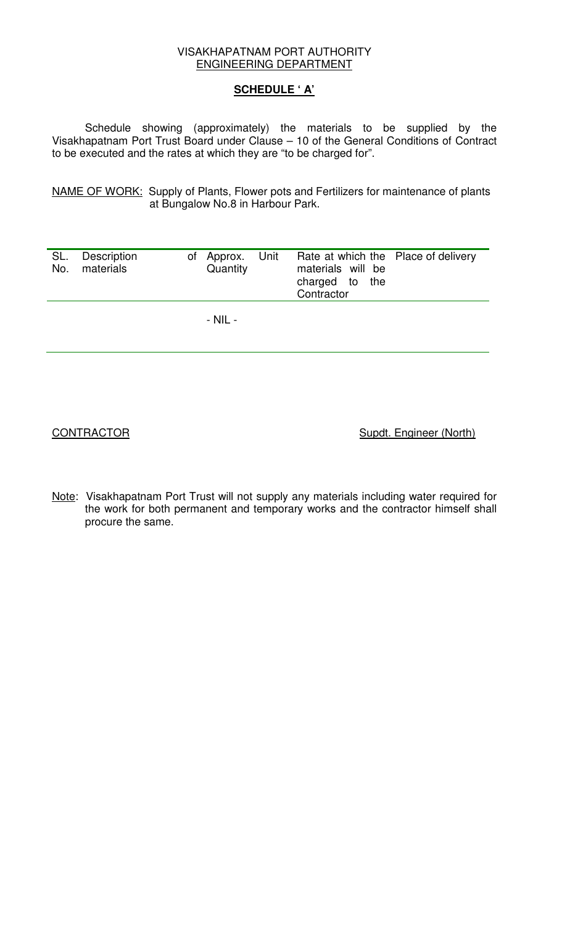#### **SCHEDULE ' A'**

Schedule showing (approximately) the materials to be supplied by the Visakhapatnam Port Trust Board under Clause – 10 of the General Conditions of Contract to be executed and the rates at which they are "to be charged for".

NAME OF WORK: Supply of Plants, Flower pots and Fertilizers for maintenance of plants at Bungalow No.8 in Harbour Park.

| SL. | Description |          | of Approx. Unit Rate at which the Place of delivery |  |
|-----|-------------|----------|-----------------------------------------------------|--|
| No. | materials   | Quantity | materials will be                                   |  |
|     |             |          | charged to the                                      |  |
|     |             |          | Contractor                                          |  |
|     |             |          |                                                     |  |
|     |             | - NIL -  |                                                     |  |

CONTRACTOR Supdt. Engineer (North)

Note: Visakhapatnam Port Trust will not supply any materials including water required for the work for both permanent and temporary works and the contractor himself shall procure the same.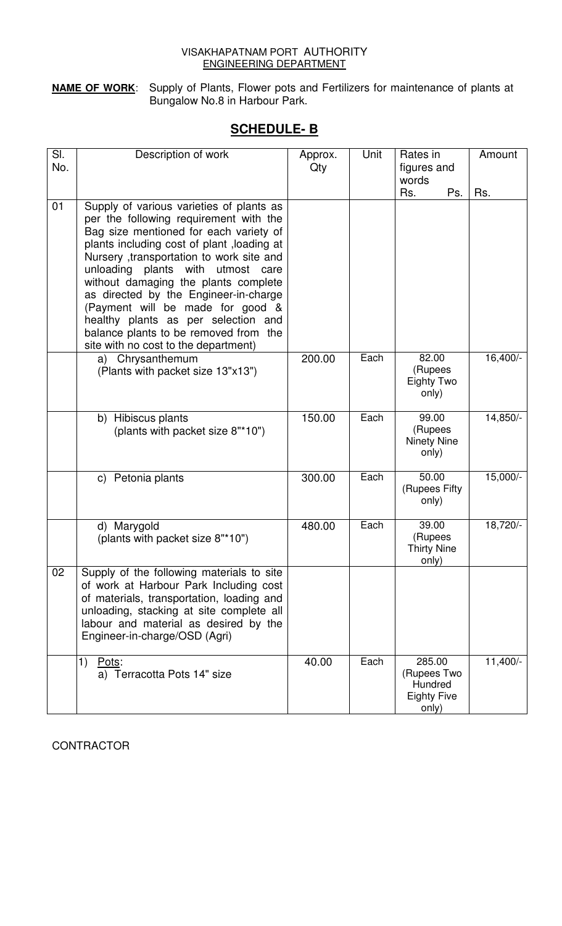**NAME OF WORK**: Supply of Plants, Flower pots and Fertilizers for maintenance of plants at Bungalow No.8 in Harbour Park.

# **SCHEDULE- B**

| SI.<br>No. | Description of work                                                                                                                                                                                                                                                                                                                                                                                                                                                                                         | Approx.<br>Qty | Unit | Rates in<br>figures and                                         | Amount   |
|------------|-------------------------------------------------------------------------------------------------------------------------------------------------------------------------------------------------------------------------------------------------------------------------------------------------------------------------------------------------------------------------------------------------------------------------------------------------------------------------------------------------------------|----------------|------|-----------------------------------------------------------------|----------|
|            |                                                                                                                                                                                                                                                                                                                                                                                                                                                                                                             |                |      | words                                                           |          |
|            |                                                                                                                                                                                                                                                                                                                                                                                                                                                                                                             |                |      | Rs.<br>Ps.                                                      | Rs.      |
| 01         | Supply of various varieties of plants as<br>per the following requirement with the<br>Bag size mentioned for each variety of<br>plants including cost of plant, loading at<br>Nursery ,transportation to work site and<br>unloading plants with<br>utmost care<br>without damaging the plants complete<br>as directed by the Engineer-in-charge<br>(Payment will be made for good &<br>healthy plants as per selection and<br>balance plants to be removed from the<br>site with no cost to the department) |                |      |                                                                 |          |
|            | Chrysanthemum<br>a)<br>(Plants with packet size 13"x13")                                                                                                                                                                                                                                                                                                                                                                                                                                                    | 200.00         | Each | 82.00<br>(Rupees<br>Eighty Two<br>only)                         | 16,400/- |
|            | b) Hibiscus plants<br>(plants with packet size 8"*10")                                                                                                                                                                                                                                                                                                                                                                                                                                                      | 150.00         | Each | 99.00<br>(Rupees<br>Ninety Nine<br>only)                        | 14,850/- |
|            | c) Petonia plants                                                                                                                                                                                                                                                                                                                                                                                                                                                                                           | 300.00         | Each | 50.00<br>(Rupees Fifty<br>only)                                 | 15,000/- |
|            | d) Marygold<br>(plants with packet size 8"*10")                                                                                                                                                                                                                                                                                                                                                                                                                                                             | 480.00         | Each | 39.00<br>(Rupees<br><b>Thirty Nine</b><br>only)                 | 18,720/- |
| 02         | Supply of the following materials to site<br>of work at Harbour Park Including cost<br>of materials, transportation, loading and<br>unloading, stacking at site complete all<br>labour and material as desired by the<br>Engineer-in-charge/OSD (Agri)                                                                                                                                                                                                                                                      |                |      |                                                                 |          |
|            | 1)<br>Pots:<br>a) Terracotta Pots 14" size                                                                                                                                                                                                                                                                                                                                                                                                                                                                  | 40.00          | Each | 285.00<br>(Rupees Two<br>Hundred<br><b>Eighty Five</b><br>only) | 11,400/- |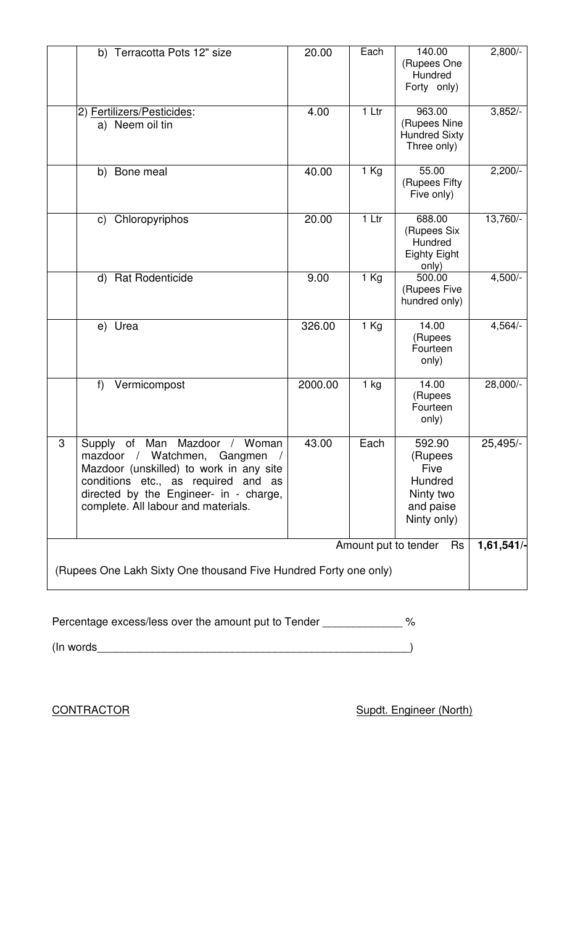|                                                                                                | b) Terracotta Pots 12" size                                                                                                                                                                                                        | 20.00   | Each              | 140.00<br>(Rupees One<br>Hundred<br>Forty only)                                      | $2,800/-$  |
|------------------------------------------------------------------------------------------------|------------------------------------------------------------------------------------------------------------------------------------------------------------------------------------------------------------------------------------|---------|-------------------|--------------------------------------------------------------------------------------|------------|
|                                                                                                | 2) Fertilizers/Pesticides:<br>a) Neem oil tin                                                                                                                                                                                      | 4.00    | 1 Ltr             | 963.00<br>(Rupees Nine<br><b>Hundred Sixty</b><br>Three only)                        | 3,852/     |
|                                                                                                | b) Bone meal                                                                                                                                                                                                                       | 40.00   | $\overline{1}$ Kg | 55.00<br>(Rupees Fifty<br>Five only)                                                 | $2,200/-$  |
|                                                                                                | Chloropyriphos<br>$\mathsf{C}$                                                                                                                                                                                                     | 20.00   | $1$ Ltr           | 688.00<br>(Rupees Six<br>Hundred<br><b>Eighty Eight</b><br>only)                     | $13,760/-$ |
|                                                                                                | d) Rat Rodenticide                                                                                                                                                                                                                 | 9.00    | $1$ Kg            | 500.00<br>(Rupees Five<br>hundred only)                                              | $4,500/-$  |
|                                                                                                | e) Urea                                                                                                                                                                                                                            | 326.00  | $1$ Kg            | 14.00<br>(Rupees<br>Fourteen<br>only)                                                | $4,564/-$  |
|                                                                                                | f)<br>Vermicompost                                                                                                                                                                                                                 | 2000.00 | $1$ kg            | 14.00<br>(Rupees<br>Fourteen<br>only)                                                | 28,000/-   |
| 3                                                                                              | of Man Mazdoor / Woman<br>Supply<br>mazdoor / Watchmen, Gangmen<br>Mazdoor (unskilled) to work in any site<br>conditions etc., as required and as<br>directed by the Engineer- in - charge,<br>complete. All labour and materials. | 43.00   | Each              | 592.90<br>(Rupees<br><b>Five</b><br>Hundred<br>Ninty two<br>and paise<br>Ninty only) | 25,495/-   |
| Amount put to tender<br>Rs<br>(Rupees One Lakh Sixty One thousand Five Hundred Forty one only) |                                                                                                                                                                                                                                    |         |                   |                                                                                      |            |

| Percentage excess/less over the amount put to Tender |  |
|------------------------------------------------------|--|
| (In words)                                           |  |

CONTRACTOR Supdt. Engineer (North)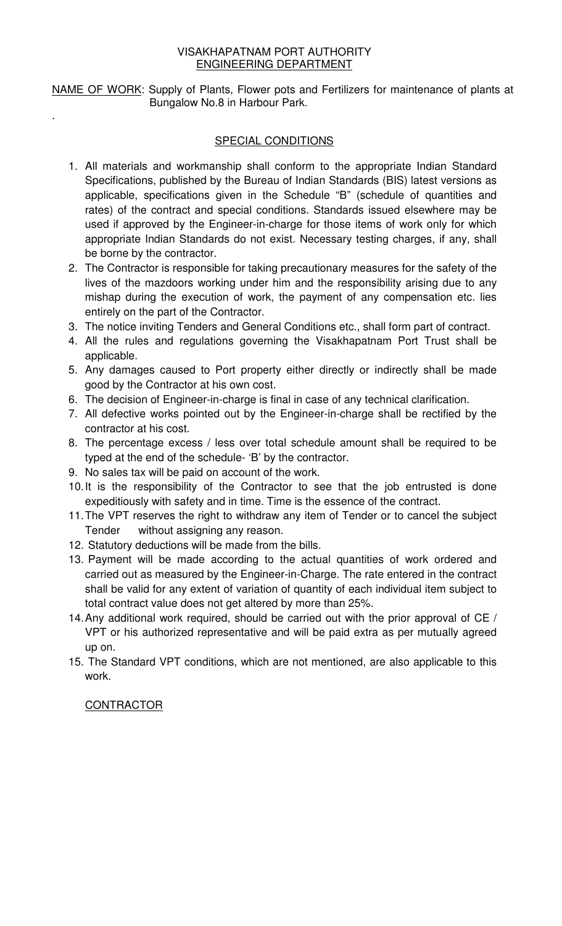NAME OF WORK: Supply of Plants, Flower pots and Fertilizers for maintenance of plants at Bungalow No.8 in Harbour Park.

### SPECIAL CONDITIONS

- 1. All materials and workmanship shall conform to the appropriate Indian Standard Specifications, published by the Bureau of Indian Standards (BIS) latest versions as applicable, specifications given in the Schedule "B" (schedule of quantities and rates) of the contract and special conditions. Standards issued elsewhere may be used if approved by the Engineer-in-charge for those items of work only for which appropriate Indian Standards do not exist. Necessary testing charges, if any, shall be borne by the contractor.
- 2. The Contractor is responsible for taking precautionary measures for the safety of the lives of the mazdoors working under him and the responsibility arising due to any mishap during the execution of work, the payment of any compensation etc. lies entirely on the part of the Contractor.
- 3. The notice inviting Tenders and General Conditions etc., shall form part of contract.
- 4. All the rules and regulations governing the Visakhapatnam Port Trust shall be applicable.
- 5. Any damages caused to Port property either directly or indirectly shall be made good by the Contractor at his own cost.
- 6. The decision of Engineer-in-charge is final in case of any technical clarification.
- 7. All defective works pointed out by the Engineer-in-charge shall be rectified by the contractor at his cost.
- 8. The percentage excess / less over total schedule amount shall be required to be typed at the end of the schedule- 'B' by the contractor.
- 9. No sales tax will be paid on account of the work.
- 10. It is the responsibility of the Contractor to see that the job entrusted is done expeditiously with safety and in time. Time is the essence of the contract.
- 11. The VPT reserves the right to withdraw any item of Tender or to cancel the subject Tender without assigning any reason.
- 12. Statutory deductions will be made from the bills.
- 13. Payment will be made according to the actual quantities of work ordered and carried out as measured by the Engineer-in-Charge. The rate entered in the contract shall be valid for any extent of variation of quantity of each individual item subject to total contract value does not get altered by more than 25%.
- 14. Any additional work required, should be carried out with the prior approval of CE / VPT or his authorized representative and will be paid extra as per mutually agreed up on.
- 15. The Standard VPT conditions, which are not mentioned, are also applicable to this work.

### **CONTRACTOR**

.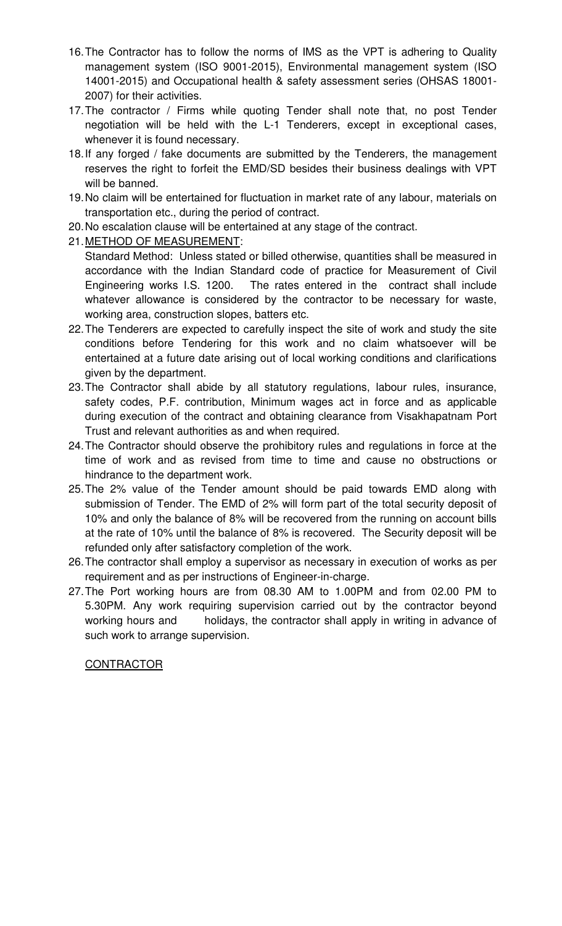- 16. The Contractor has to follow the norms of IMS as the VPT is adhering to Quality management system (ISO 9001-2015), Environmental management system (ISO 14001-2015) and Occupational health & safety assessment series (OHSAS 18001- 2007) for their activities.
- 17. The contractor / Firms while quoting Tender shall note that, no post Tender negotiation will be held with the L-1 Tenderers, except in exceptional cases, whenever it is found necessary.
- 18. If any forged / fake documents are submitted by the Tenderers, the management reserves the right to forfeit the EMD/SD besides their business dealings with VPT will be banned.
- 19. No claim will be entertained for fluctuation in market rate of any labour, materials on transportation etc., during the period of contract.
- 20. No escalation clause will be entertained at any stage of the contract.
- 21. METHOD OF MEASUREMENT:
	- Standard Method: Unless stated or billed otherwise, quantities shall be measured in accordance with the Indian Standard code of practice for Measurement of Civil Engineering works I.S. 1200. The rates entered in the contract shall include whatever allowance is considered by the contractor to be necessary for waste, working area, construction slopes, batters etc.
- 22. The Tenderers are expected to carefully inspect the site of work and study the site conditions before Tendering for this work and no claim whatsoever will be entertained at a future date arising out of local working conditions and clarifications given by the department.
- 23. The Contractor shall abide by all statutory regulations, labour rules, insurance, safety codes, P.F. contribution, Minimum wages act in force and as applicable during execution of the contract and obtaining clearance from Visakhapatnam Port Trust and relevant authorities as and when required.
- 24. The Contractor should observe the prohibitory rules and regulations in force at the time of work and as revised from time to time and cause no obstructions or hindrance to the department work.
- 25. The 2% value of the Tender amount should be paid towards EMD along with submission of Tender. The EMD of 2% will form part of the total security deposit of 10% and only the balance of 8% will be recovered from the running on account bills at the rate of 10% until the balance of 8% is recovered. The Security deposit will be refunded only after satisfactory completion of the work.
- 26. The contractor shall employ a supervisor as necessary in execution of works as per requirement and as per instructions of Engineer-in-charge.
- 27. The Port working hours are from 08.30 AM to 1.00PM and from 02.00 PM to 5.30PM. Any work requiring supervision carried out by the contractor beyond working hours and holidays, the contractor shall apply in writing in advance of such work to arrange supervision.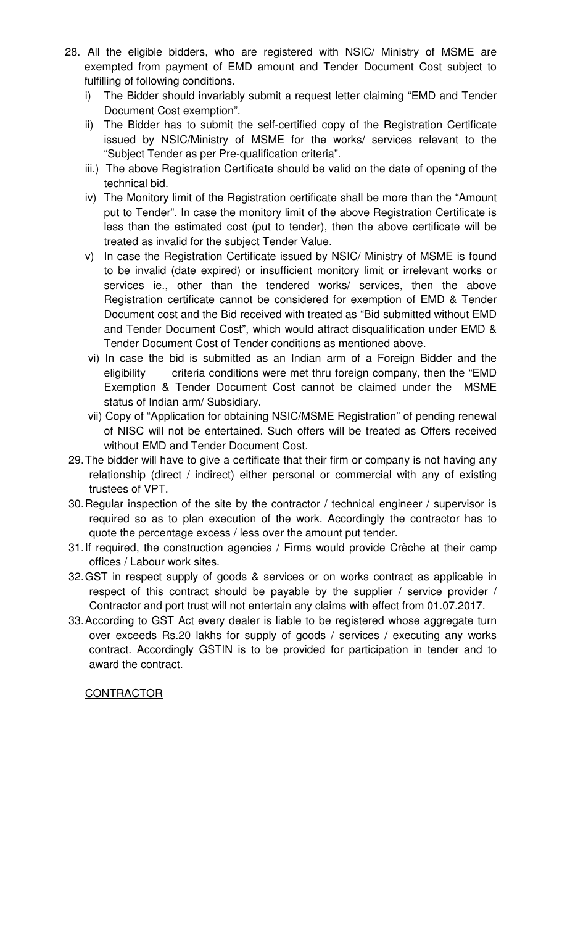- 28. All the eligible bidders, who are registered with NSIC/ Ministry of MSME are exempted from payment of EMD amount and Tender Document Cost subject to fulfilling of following conditions.
	- i) The Bidder should invariably submit a request letter claiming "EMD and Tender Document Cost exemption".
	- ii) The Bidder has to submit the self-certified copy of the Registration Certificate issued by NSIC/Ministry of MSME for the works/ services relevant to the "Subject Tender as per Pre-qualification criteria".
	- iii.) The above Registration Certificate should be valid on the date of opening of the technical bid.
	- iv) The Monitory limit of the Registration certificate shall be more than the "Amount put to Tender". In case the monitory limit of the above Registration Certificate is less than the estimated cost (put to tender), then the above certificate will be treated as invalid for the subject Tender Value.
	- v) In case the Registration Certificate issued by NSIC/ Ministry of MSME is found to be invalid (date expired) or insufficient monitory limit or irrelevant works or services ie., other than the tendered works/ services, then the above Registration certificate cannot be considered for exemption of EMD & Tender Document cost and the Bid received with treated as "Bid submitted without EMD and Tender Document Cost", which would attract disqualification under EMD & Tender Document Cost of Tender conditions as mentioned above.
	- vi) In case the bid is submitted as an Indian arm of a Foreign Bidder and the eligibility criteria conditions were met thru foreign company, then the "EMD Exemption & Tender Document Cost cannot be claimed under the MSME status of Indian arm/ Subsidiary.
	- vii) Copy of "Application for obtaining NSIC/MSME Registration" of pending renewal of NISC will not be entertained. Such offers will be treated as Offers received without EMD and Tender Document Cost.
- 29. The bidder will have to give a certificate that their firm or company is not having any relationship (direct / indirect) either personal or commercial with any of existing trustees of VPT.
- 30. Regular inspection of the site by the contractor / technical engineer / supervisor is required so as to plan execution of the work. Accordingly the contractor has to quote the percentage excess / less over the amount put tender.
- 31. If required, the construction agencies / Firms would provide Crèche at their camp offices / Labour work sites.
- 32. GST in respect supply of goods & services or on works contract as applicable in respect of this contract should be payable by the supplier / service provider / Contractor and port trust will not entertain any claims with effect from 01.07.2017.
- 33. According to GST Act every dealer is liable to be registered whose aggregate turn over exceeds Rs.20 lakhs for supply of goods / services / executing any works contract. Accordingly GSTIN is to be provided for participation in tender and to award the contract.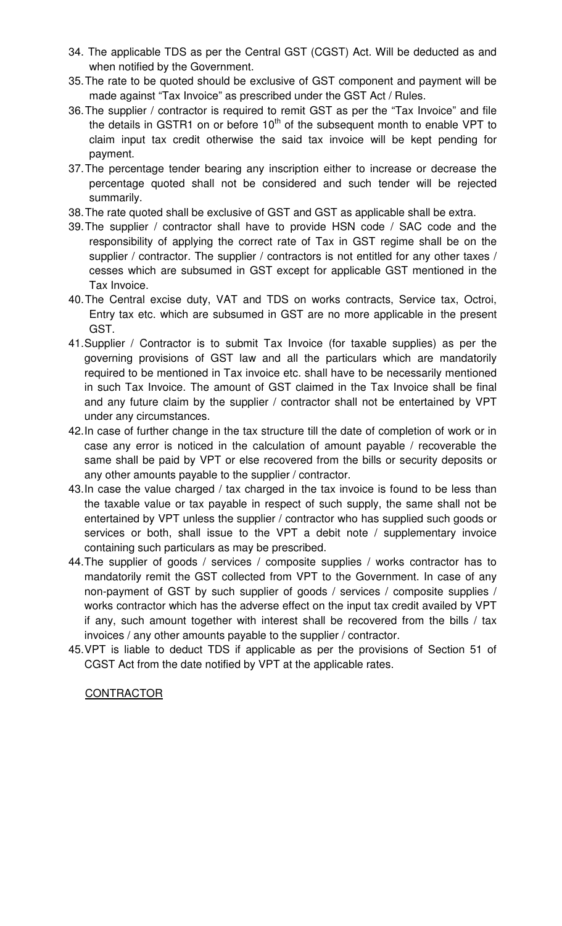- 34. The applicable TDS as per the Central GST (CGST) Act. Will be deducted as and when notified by the Government.
- 35. The rate to be quoted should be exclusive of GST component and payment will be made against "Tax Invoice" as prescribed under the GST Act / Rules.
- 36. The supplier / contractor is required to remit GST as per the "Tax Invoice" and file the details in GSTR1 on or before  $10<sup>th</sup>$  of the subsequent month to enable VPT to claim input tax credit otherwise the said tax invoice will be kept pending for payment.
- 37. The percentage tender bearing any inscription either to increase or decrease the percentage quoted shall not be considered and such tender will be rejected summarily.
- 38. The rate quoted shall be exclusive of GST and GST as applicable shall be extra.
- 39. The supplier / contractor shall have to provide HSN code / SAC code and the responsibility of applying the correct rate of Tax in GST regime shall be on the supplier / contractor. The supplier / contractors is not entitled for any other taxes / cesses which are subsumed in GST except for applicable GST mentioned in the Tax Invoice.
- 40. The Central excise duty, VAT and TDS on works contracts, Service tax, Octroi, Entry tax etc. which are subsumed in GST are no more applicable in the present GST.
- 41. Supplier / Contractor is to submit Tax Invoice (for taxable supplies) as per the governing provisions of GST law and all the particulars which are mandatorily required to be mentioned in Tax invoice etc. shall have to be necessarily mentioned in such Tax Invoice. The amount of GST claimed in the Tax Invoice shall be final and any future claim by the supplier / contractor shall not be entertained by VPT under any circumstances.
- 42. In case of further change in the tax structure till the date of completion of work or in case any error is noticed in the calculation of amount payable / recoverable the same shall be paid by VPT or else recovered from the bills or security deposits or any other amounts payable to the supplier / contractor.
- 43. In case the value charged / tax charged in the tax invoice is found to be less than the taxable value or tax payable in respect of such supply, the same shall not be entertained by VPT unless the supplier / contractor who has supplied such goods or services or both, shall issue to the VPT a debit note / supplementary invoice containing such particulars as may be prescribed.
- 44. The supplier of goods / services / composite supplies / works contractor has to mandatorily remit the GST collected from VPT to the Government. In case of any non-payment of GST by such supplier of goods / services / composite supplies / works contractor which has the adverse effect on the input tax credit availed by VPT if any, such amount together with interest shall be recovered from the bills / tax invoices / any other amounts payable to the supplier / contractor.
- 45. VPT is liable to deduct TDS if applicable as per the provisions of Section 51 of CGST Act from the date notified by VPT at the applicable rates.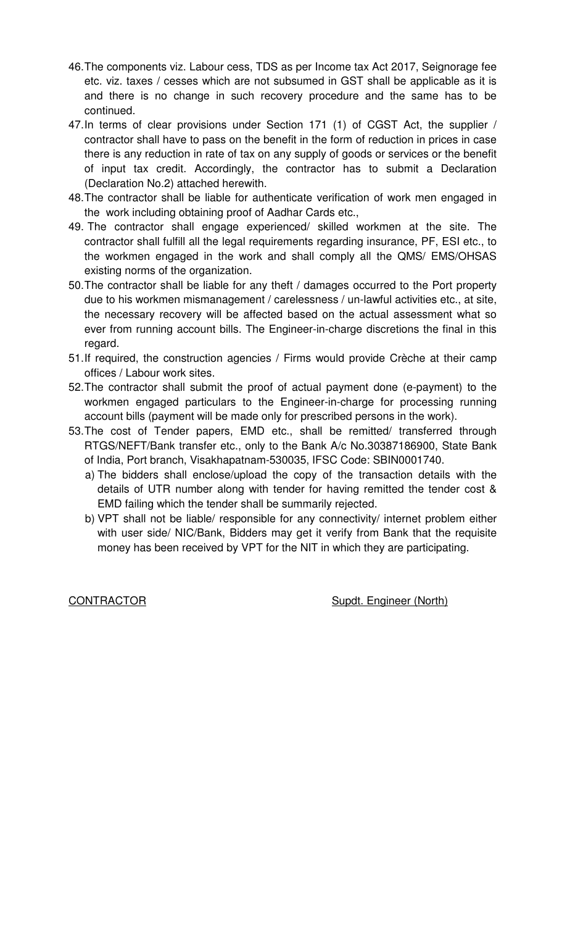- 46. The components viz. Labour cess, TDS as per Income tax Act 2017, Seignorage fee etc. viz. taxes / cesses which are not subsumed in GST shall be applicable as it is and there is no change in such recovery procedure and the same has to be continued.
- 47. In terms of clear provisions under Section 171 (1) of CGST Act, the supplier / contractor shall have to pass on the benefit in the form of reduction in prices in case there is any reduction in rate of tax on any supply of goods or services or the benefit of input tax credit. Accordingly, the contractor has to submit a Declaration (Declaration No.2) attached herewith.
- 48. The contractor shall be liable for authenticate verification of work men engaged in the work including obtaining proof of Aadhar Cards etc.,
- 49. The contractor shall engage experienced/ skilled workmen at the site. The contractor shall fulfill all the legal requirements regarding insurance, PF, ESI etc., to the workmen engaged in the work and shall comply all the QMS/ EMS/OHSAS existing norms of the organization.
- 50. The contractor shall be liable for any theft / damages occurred to the Port property due to his workmen mismanagement / carelessness / un-lawful activities etc., at site, the necessary recovery will be affected based on the actual assessment what so ever from running account bills. The Engineer-in-charge discretions the final in this regard.
- 51. If required, the construction agencies / Firms would provide Crèche at their camp offices / Labour work sites.
- 52. The contractor shall submit the proof of actual payment done (e-payment) to the workmen engaged particulars to the Engineer-in-charge for processing running account bills (payment will be made only for prescribed persons in the work).
- 53. The cost of Tender papers, EMD etc., shall be remitted/ transferred through RTGS/NEFT/Bank transfer etc., only to the Bank A/c No.30387186900, State Bank of India, Port branch, Visakhapatnam-530035, IFSC Code: SBIN0001740.
	- a) The bidders shall enclose/upload the copy of the transaction details with the details of UTR number along with tender for having remitted the tender cost & EMD failing which the tender shall be summarily rejected.
	- b) VPT shall not be liable/ responsible for any connectivity/ internet problem either with user side/ NIC/Bank, Bidders may get it verify from Bank that the requisite money has been received by VPT for the NIT in which they are participating.

CONTRACTOR Supdt. Engineer (North)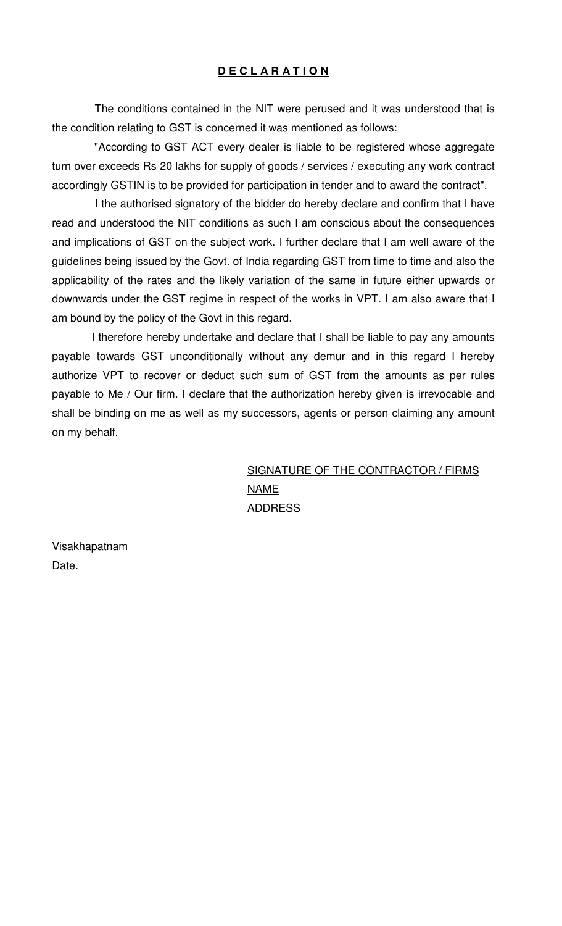#### **D E C L A R A T I O N**

 The conditions contained in the NIT were perused and it was understood that is the condition relating to GST is concerned it was mentioned as follows:

 "According to GST ACT every dealer is liable to be registered whose aggregate turn over exceeds Rs 20 lakhs for supply of goods / services / executing any work contract accordingly GSTIN is to be provided for participation in tender and to award the contract".

 I the authorised signatory of the bidder do hereby declare and confirm that I have read and understood the NIT conditions as such I am conscious about the consequences and implications of GST on the subject work. I further declare that I am well aware of the guidelines being issued by the Govt. of India regarding GST from time to time and also the applicability of the rates and the likely variation of the same in future either upwards or downwards under the GST regime in respect of the works in VPT. I am also aware that I am bound by the policy of the Govt in this regard.

 I therefore hereby undertake and declare that I shall be liable to pay any amounts payable towards GST unconditionally without any demur and in this regard I hereby authorize VPT to recover or deduct such sum of GST from the amounts as per rules payable to Me / Our firm. I declare that the authorization hereby given is irrevocable and shall be binding on me as well as my successors, agents or person claiming any amount on my behalf.

## SIGNATURE OF THE CONTRACTOR / FIRMS NAME ADDRESS

Visakhapatnam Date.